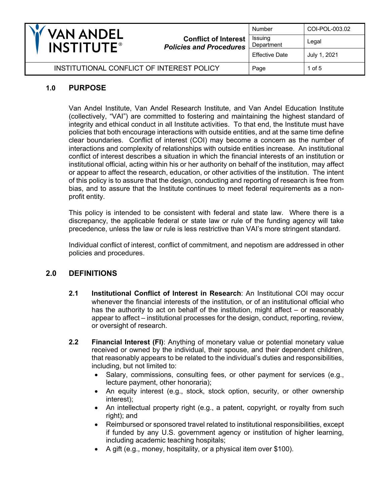| VAN ANDEL<br><b>INSTITUTE®</b>            | <b>Conflict of Interest</b><br><b>Policies and Procedures</b> | Number                | COI-POL-003.02 |
|-------------------------------------------|---------------------------------------------------------------|-----------------------|----------------|
|                                           |                                                               | Issuing<br>Department | Legal          |
|                                           |                                                               | <b>Effective Date</b> | July 1, 2021   |
| INSTITUTIONAL CONFLICT OF INTEREST POLICY |                                                               | Page                  | 1 of 5         |

## **1.0 PURPOSE**

Van Andel Institute, Van Andel Research Institute, and Van Andel Education Institute (collectively, "VAI") are committed to fostering and maintaining the highest standard of integrity and ethical conduct in all Institute activities. To that end, the Institute must have policies that both encourage interactions with outside entities, and at the same time define clear boundaries. Conflict of interest (COI) may become a concern as the number of interactions and complexity of relationships with outside entities increase. An institutional conflict of interest describes a situation in which the financial interests of an institution or institutional official, acting within his or her authority on behalf of the institution, may affect or appear to affect the research, education, or other activities of the institution. The intent of this policy is to assure that the design, conducting and reporting of research is free from bias, and to assure that the Institute continues to meet federal requirements as a nonprofit entity.

This policy is intended to be consistent with federal and state law. Where there is a discrepancy, the applicable federal or state law or rule of the funding agency will take precedence, unless the law or rule is less restrictive than VAI's more stringent standard.

Individual conflict of interest, conflict of commitment, and nepotism are addressed in other policies and procedures.

## **2.0 DEFINITIONS**

- **2.1 Institutional Conflict of Interest in Research**: An Institutional COI may occur whenever the financial interests of the institution, or of an institutional official who has the authority to act on behalf of the institution, might affect – or reasonably appear to affect – institutional processes for the design, conduct, reporting, review, or oversight of research.
- **2.2 Financial Interest (FI)**: Anything of monetary value or potential monetary value received or owned by the individual, their spouse, and their dependent children, that reasonably appears to be related to the individual's duties and responsibilities, including, but not limited to:
	- Salary, commissions, consulting fees, or other payment for services (e.g., lecture payment, other honoraria);
	- An equity interest (e.g., stock, stock option, security, or other ownership interest);
	- An intellectual property right (e.g., a patent, copyright, or royalty from such right); and
	- Reimbursed or sponsored travel related to institutional responsibilities, except if funded by any U.S. government agency or institution of higher learning, including academic teaching hospitals;
	- A gift (e.g., money, hospitality, or a physical item over \$100).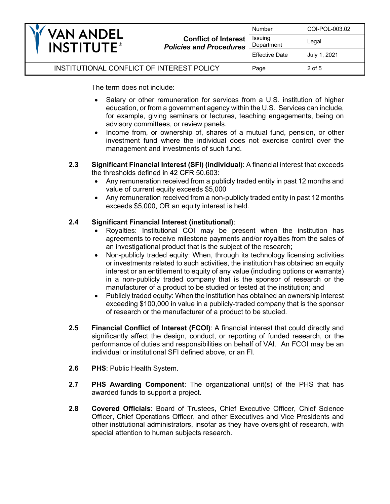| <b>VAN ANDEL</b><br><b>INSTITUTE®</b>     | <b>Conflict of Interest</b><br><b>Policies and Procedures</b> | Number                | COI-POL-003.02 |
|-------------------------------------------|---------------------------------------------------------------|-----------------------|----------------|
|                                           |                                                               | Issuing<br>Department | Legal          |
|                                           |                                                               | <b>Effective Date</b> | July 1, 2021   |
| INSTITUTIONAL CONFLICT OF INTEREST POLICY |                                                               | Page                  | 2 of 5         |

The term does not include:

- Salary or other remuneration for services from a U.S. institution of higher education, or from a government agency within the U.S. Services can include, for example, giving seminars or lectures, teaching engagements, being on advisory committees, or review panels.
- Income from, or ownership of, shares of a mutual fund, pension, or other investment fund where the individual does not exercise control over the management and investments of such fund.
- **2.3 Significant Financial Interest (SFI) (individual)**: A financial interest that exceeds the thresholds defined in 42 CFR 50.603:
	- Any remuneration received from a publicly traded entity in past 12 months and value of current equity exceeds \$5,000
	- Any remuneration received from a non-publicly traded entity in past 12 months exceeds \$5,000, OR an equity interest is held.

### **2.4 Significant Financial Interest (institutional)**:

- Royalties: Institutional COI may be present when the institution has agreements to receive milestone payments and/or royalties from the sales of an investigational product that is the subject of the research;
- Non-publicly traded equity: When, through its technology licensing activities or investments related to such activities, the institution has obtained an equity interest or an entitlement to equity of any value (including options or warrants) in a non-publicly traded company that is the sponsor of research or the manufacturer of a product to be studied or tested at the institution; and
- Publicly traded equity: When the institution has obtained an ownership interest exceeding \$100,000 in value in a publicly-traded company that is the sponsor of research or the manufacturer of a product to be studied.
- **2.5 Financial Conflict of Interest (FCOI)**: A financial interest that could directly and significantly affect the design, conduct, or reporting of funded research, or the performance of duties and responsibilities on behalf of VAI. An FCOI may be an individual or institutional SFI defined above, or an FI.
- **2.6 PHS**: Public Health System.
- **2.7 PHS Awarding Component**: The organizational unit(s) of the PHS that has awarded funds to support a project.
- **2.8 Covered Officials**: Board of Trustees, Chief Executive Officer, Chief Science Officer, Chief Operations Officer, and other Executives and Vice Presidents and other institutional administrators, insofar as they have oversight of research, with special attention to human subjects research.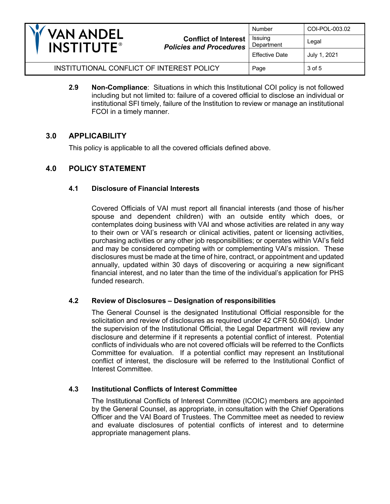

**Conflict of Interest**  *Policies and Procedures* Number | COI-POL-003.02 Issuing Department | Legal Effective Date  $\vert$  July 1, 2021

INSTITUTIONAL CONFLICT OF INTEREST POLICY  $\vert$  Page  $\vert$  3 of 5

**2.9 Non-Compliance**: Situations in which this Institutional COI policy is not followed including but not limited to: failure of a covered official to disclose an individual or institutional SFI timely, failure of the Institution to review or manage an institutional FCOI in a timely manner.

## **3.0 APPLICABILITY**

This policy is applicable to all the covered officials defined above.

# **4.0 POLICY STATEMENT**

### **4.1 Disclosure of Financial Interests**

Covered Officials of VAI must report all financial interests (and those of his/her spouse and dependent children) with an outside entity which does, or contemplates doing business with VAI and whose activities are related in any way to their own or VAI's research or clinical activities, patent or licensing activities, purchasing activities or any other job responsibilities; or operates within VAI's field and may be considered competing with or complementing VAI's mission. These disclosures must be made at the time of hire, contract, or appointment and updated annually, updated within 30 days of discovering or acquiring a new significant financial interest, and no later than the time of the individual's application for PHS funded research.

### **4.2 Review of Disclosures – Designation of responsibilities**

The General Counsel is the designated Institutional Official responsible for the solicitation and review of disclosures as required under 42 CFR 50.604(d). Under the supervision of the Institutional Official, the Legal Department will review any disclosure and determine if it represents a potential conflict of interest. Potential conflicts of individuals who are not covered officials will be referred to the Conflicts Committee for evaluation. If a potential conflict may represent an Institutional conflict of interest, the disclosure will be referred to the Institutional Conflict of Interest Committee.

### **4.3 Institutional Conflicts of Interest Committee**

The Institutional Conflicts of Interest Committee (ICOIC) members are appointed by the General Counsel, as appropriate, in consultation with the Chief Operations Officer and the VAI Board of Trustees. The Committee meet as needed to review and evaluate disclosures of potential conflicts of interest and to determine appropriate management plans.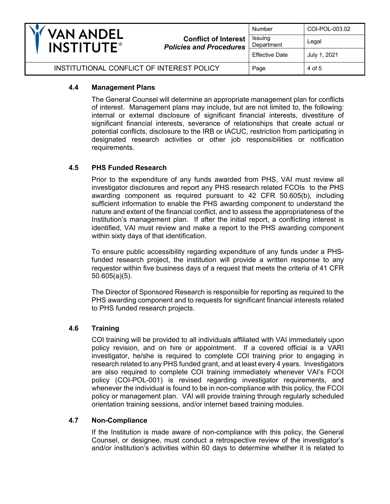

### **4.4 Management Plans**

The General Counsel will determine an appropriate management plan for conflicts of interest. Management plans may include, but are not limited to, the following: internal or external disclosure of significant financial interests, divestiture of significant financial interests, severance of relationships that create actual or potential conflicts, disclosure to the IRB or IACUC, restriction from participating in designated research activities or other job responsibilities or notification requirements.

### **4.5 PHS Funded Research**

Prior to the expenditure of any funds awarded from PHS, VAI must review all investigator disclosures and report any PHS research related FCOIs to the PHS awarding component as required pursuant to 42 CFR 50.605(b), including sufficient information to enable the PHS awarding component to understand the nature and extent of the financial conflict, and to assess the appropriateness of the Institution's management plan. If after the initial report, a conflicting interest is identified, VAI must review and make a report to the PHS awarding component within sixty days of that identification.

To ensure public accessibility regarding expenditure of any funds under a PHSfunded research project, the institution will provide a written response to any requestor within five business days of a request that meets the criteria of 41 CFR 50.605(a)(5).

The Director of Sponsored Research is responsible for reporting as required to the PHS awarding component and to requests for significant financial interests related to PHS funded research projects.

### **4.6 Training**

COI training will be provided to all individuals affiliated with VAI immediately upon policy revision, and on hire or appointment. If a covered official is a VARI investigator, he/she is required to complete COI training prior to engaging in research related to any PHS funded grant, and at least every 4 years. Investigators are also required to complete COI training immediately whenever VAI's FCOI policy (COI-POL-001) is revised regarding investigator requirements, and whenever the individual is found to be in non-compliance with this policy, the FCOI policy or management plan. VAI will provide training through regularly scheduled orientation training sessions, and/or internet based training modules.

### **4.7 Non-Compliance**

If the Institution is made aware of non-compliance with this policy, the General Counsel, or designee, must conduct a retrospective review of the investigator's and/or institution's activities within 60 days to determine whether it is related to